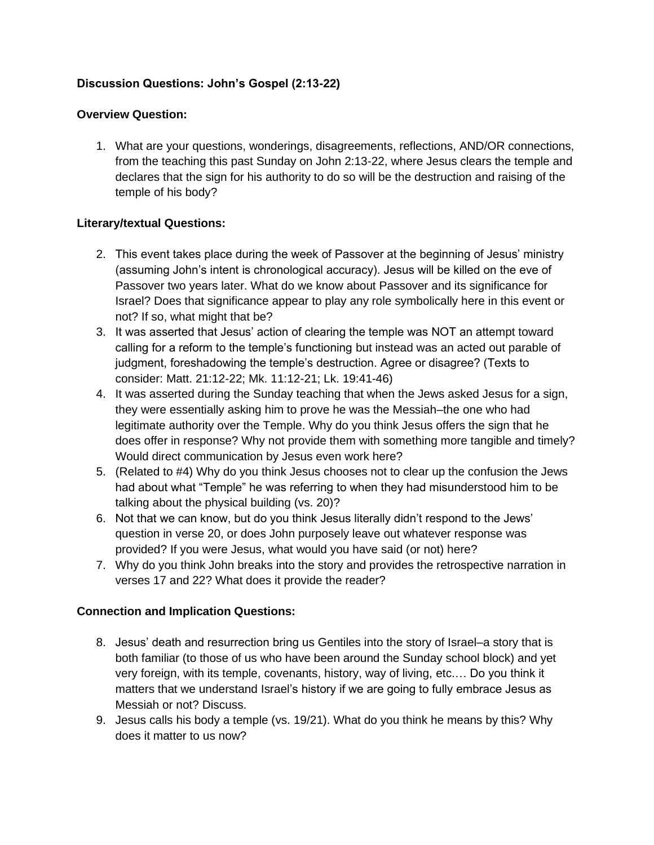## **Discussion Questions: John's Gospel (2:13-22)**

## **Overview Question:**

1. What are your questions, wonderings, disagreements, reflections, AND/OR connections, from the teaching this past Sunday on John 2:13-22, where Jesus clears the temple and declares that the sign for his authority to do so will be the destruction and raising of the temple of his body?

## **Literary/textual Questions:**

- 2. This event takes place during the week of Passover at the beginning of Jesus' ministry (assuming John's intent is chronological accuracy). Jesus will be killed on the eve of Passover two years later. What do we know about Passover and its significance for Israel? Does that significance appear to play any role symbolically here in this event or not? If so, what might that be?
- 3. It was asserted that Jesus' action of clearing the temple was NOT an attempt toward calling for a reform to the temple's functioning but instead was an acted out parable of judgment, foreshadowing the temple's destruction. Agree or disagree? (Texts to consider: Matt. 21:12-22; Mk. 11:12-21; Lk. 19:41-46)
- 4. It was asserted during the Sunday teaching that when the Jews asked Jesus for a sign, they were essentially asking him to prove he was the Messiah–the one who had legitimate authority over the Temple. Why do you think Jesus offers the sign that he does offer in response? Why not provide them with something more tangible and timely? Would direct communication by Jesus even work here?
- 5. (Related to #4) Why do you think Jesus chooses not to clear up the confusion the Jews had about what "Temple" he was referring to when they had misunderstood him to be talking about the physical building (vs. 20)?
- 6. Not that we can know, but do you think Jesus literally didn't respond to the Jews' question in verse 20, or does John purposely leave out whatever response was provided? If you were Jesus, what would you have said (or not) here?
- 7. Why do you think John breaks into the story and provides the retrospective narration in verses 17 and 22? What does it provide the reader?

## **Connection and Implication Questions:**

- 8. Jesus' death and resurrection bring us Gentiles into the story of Israel–a story that is both familiar (to those of us who have been around the Sunday school block) and yet very foreign, with its temple, covenants, history, way of living, etc.… Do you think it matters that we understand Israel's history if we are going to fully embrace Jesus as Messiah or not? Discuss.
- 9. Jesus calls his body a temple (vs. 19/21). What do you think he means by this? Why does it matter to us now?